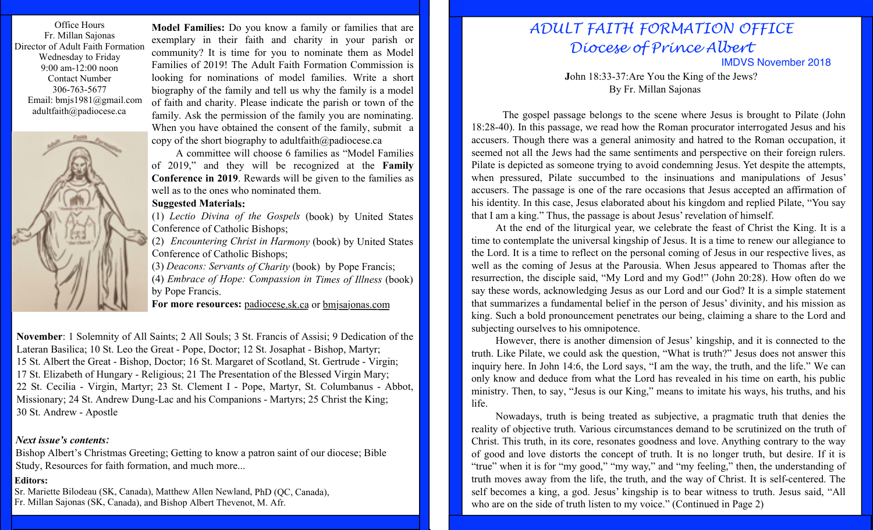Office Hours Fr. Millan Sajonas Director of Adult Faith Formation Wednesday to Friday 9:00 am-12:00 noon Contact Number 306-763-5677 Email: bmjs1981@gmail.com adultfaith@padiocese.ca



**Model Families:** Do you know a family or families that are exemplary in their faith and charity in your parish or community? It is time for you to nominate them as Model Families of 2019! The Adult Faith Formation Commission is looking for nominations of model families. Write a short biography of the family and tell us why the family is a model of faith and charity. Please indicate the parish or town of the family. Ask the permission of the family you are nominating. When you have obtained the consent of the family, submit a copy of the short biography to adultfaith@padiocese.ca

A committee will choose 6 families as "Model Families of 2019," and they will be recognized at the **Family Conference in 2019**. Rewards will be given to the families as well as to the ones who nominated them.

### **Suggested Materials:**

(1) *Lectio Divina of the Gospels* (book) by United States Conference of Catholic Bishops;

(2) *Encountering Christ in Harmony* (book) by United States Conference of Catholic Bishops;

(3) *Deacons: Servants of Charity* (book) by Pope Francis; (4) *Embrace of Hope: Compassion in Times of Illness* (book) by Pope Francis.

**For more resources:** padiocese.sk.ca or bmjsajonas.com

**November**: 1 Solemnity of All Saints; 2 All Souls; 3 St. Francis of Assisi; 9 Dedication of the Lateran Basilica; 10 St. Leo the Great - Pope, Doctor; 12 St. Josaphat - Bishop, Martyr; 15 St. Albert the Great - Bishop, Doctor; 16 St. Margaret of Scotland, St. Gertrude - Virgin; 17 St. Elizabeth of Hungary - Religious; 21 The Presentation of the Blessed Virgin Mary; 22 St. Cecilia - Virgin, Martyr; 23 St. Clement I - Pope, Martyr, St. Columbanus - Abbot, Missionary; 24 St. Andrew Dung-Lac and his Companions - Martyrs; 25 Christ the King; 30 St. Andrew - Apostle

#### *Next issue's contents:*

Bishop Albert's Christmas Greeting; Getting to know a patron saint of our diocese; Bible Study, Resources for faith formation, and much more...

### **Editors:**

Sr. Mariette Bilodeau (SK, Canada), Matthew Allen Newland, PhD (QC, Canada), Fr. Millan Sajonas (SK, Canada), and Bishop Albert Thevenot, M. Afr.

# *ADULT FAITH FORMATION OFFICE Diocese of Prince Albert*

IMDVS November 2018

**J**ohn 18:33-37:Are You the King of the Jews? By Fr. Millan Sajonas

The gospel passage belongs to the scene where Jesus is brought to Pilate (John 18:28-40). In this passage, we read how the Roman procurator interrogated Jesus and his accusers. Though there was a general animosity and hatred to the Roman occupation, it seemed not all the Jews had the same sentiments and perspective on their foreign rulers. Pilate is depicted as someone trying to avoid condemning Jesus. Yet despite the attempts, when pressured, Pilate succumbed to the insinuations and manipulations of Jesus' accusers. The passage is one of the rare occasions that Jesus accepted an affirmation of his identity. In this case, Jesus elaborated about his kingdom and replied Pilate, "You say that I am a king." Thus, the passage is about Jesus' revelation of himself.

At the end of the liturgical year, we celebrate the feast of Christ the King. It is a time to contemplate the universal kingship of Jesus. It is a time to renew our allegiance to the Lord. It is a time to reflect on the personal coming of Jesus in our respective lives, as well as the coming of Jesus at the Parousia. When Jesus appeared to Thomas after the resurrection, the disciple said, "My Lord and my God!" (John 20:28). How often do we say these words, acknowledging Jesus as our Lord and our God? It is a simple statement that summarizes a fundamental belief in the person of Jesus' divinity, and his mission as king. Such a bold pronouncement penetrates our being, claiming a share to the Lord and subjecting ourselves to his omnipotence.

However, there is another dimension of Jesus' kingship, and it is connected to the truth. Like Pilate, we could ask the question, "What is truth?" Jesus does not answer this inquiry here. In John 14:6, the Lord says, "I am the way, the truth, and the life." We can only know and deduce from what the Lord has revealed in his time on earth, his public ministry. Then, to say, "Jesus is our King," means to imitate his ways, his truths, and his life.

Nowadays, truth is being treated as subjective, a pragmatic truth that denies the reality of objective truth. Various circumstances demand to be scrutinized on the truth of Christ. This truth, in its core, resonates goodness and love. Anything contrary to the way of good and love distorts the concept of truth. It is no longer truth, but desire. If it is "true" when it is for "my good," "my way," and "my feeling," then, the understanding of truth moves away from the life, the truth, and the way of Christ. It is self-centered. The self becomes a king, a god. Jesus' kingship is to bear witness to truth. Jesus said, "All who are on the side of truth listen to my voice." (Continued in Page 2)